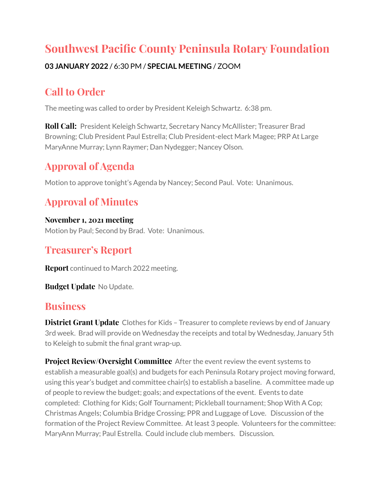# **Southwest Pacific County Peninsula Rotary Foundation**

#### **03 JANUARY 2022** / 6:30 PM / **SPECIAL MEETING** / ZOOM

## **Call to Order**

The meeting was called to order by President Keleigh Schwartz. 6:38 pm.

**Roll Call:** President Keleigh Schwartz, Secretary Nancy McAllister; Treasurer Brad Browning; Club President Paul Estrella; Club President-elect Mark Magee; PRP At Large MaryAnne Murray; Lynn Raymer; Dan Nydegger; Nancey Olson.

## **Approval of Agenda**

Motion to approve tonight's Agenda by Nancey; Second Paul. Vote: Unanimous.

# **Approval of Minutes**

**November 1, 2021 meeting** Motion by Paul; Second by Brad. Vote: Unanimous.

## **Treasurer's Report**

**Report** continued to March 2022 meeting.

**Budget Update** No Update.

## **Business**

**District Grant Update** Clothes for Kids – Treasurer to complete reviews by end of January 3rd week. Brad will provide on Wednesday the receipts and total by Wednesday, January 5th to Keleigh to submit the final grant wrap-up.

**Project Review/Oversight Committee** After the event review the event systems to establish a measurable goal(s) and budgets for each Peninsula Rotary project moving forward, using this year's budget and committee chair(s) to establish a baseline. A committee made up of people to review the budget; goals; and expectations of the event. Events to date completed: Clothing for Kids; Golf Tournament; Pickleball tournament; Shop With A Cop; Christmas Angels; Columbia Bridge Crossing; PPR and Luggage of Love. Discussion of the formation of the Project Review Committee. At least 3 people. Volunteers for the committee: MaryAnn Murray; Paul Estrella. Could include club members. Discussion.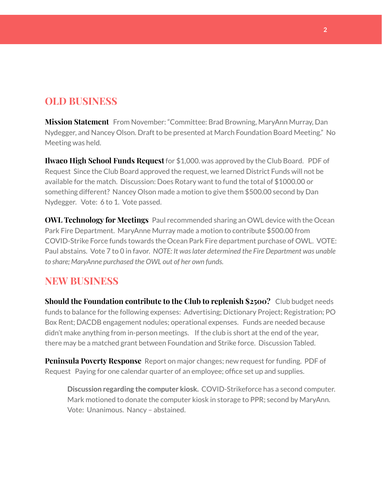### **OLD BUSINESS**

**Mission Statement** From November: "Committee: Brad Browning, MaryAnn Murray, Dan Nydegger, and Nancey Olson. Draft to be presented at March Foundation Board Meeting." No Meeting was held.

**Ilwaco High School Funds Request** for \$1,000. was approved by the Club Board. [PDF](https://beachrotary.com/wp-content/uploads/2021/12/IHS-FUND-Request-2021-1.pdf) of [Request](https://beachrotary.com/wp-content/uploads/2021/12/IHS-FUND-Request-2021-1.pdf) Since the Club Board approved the request, we learned District Funds will not be available for the match. Discussion: Does Rotary want to fund the total of \$1000.00 or something different? Nancey Olson made a motion to give them \$500.00 second by Dan Nydegger. Vote: 6 to 1. Vote passed.

**OWL Technology for Meetings** Paul recommended sharing an OWL device with the Ocean Park Fire Department. MaryAnne Murray made a motion to contribute \$500.00 from COVID-Strike Force funds towards the Ocean Park Fire department purchase of OWL. VOTE: Paul abstains. Vote 7 to 0 in favor. *NOTE: It waslater determined the Fire Department was unable to share; MaryAnne purchased the OWL out of her own funds.*

#### **NEW BUSINESS**

**Should the Foundation contribute to the Club to replenish \$2500?** Club budget needs funds to balance for the following expenses: Advertising; Dictionary Project; Registration; PO Box Rent; DACDB engagement nodules; operational expenses. Funds are needed because didn't make anything from in-person meetings. If the club is short at the end of the year, there may be a matched grant between Foundation and Strike force. Discussion Tabled.

**Peninsula Poverty Response** Report on major changes; new request for funding. [PDF](https://beachrotary.com/wp-content/uploads/2021/12/PPR-Rotary-Jan22.pdf) of [Request](https://beachrotary.com/wp-content/uploads/2021/12/PPR-Rotary-Jan22.pdf) Paying for one calendar quarter of an employee; office set up and supplies.

**Discussion regarding the computer kiosk.** COVID-Strikeforce has a second computer. Mark motioned to donate the computer kiosk in storage to PPR; second by MaryAnn. Vote: Unanimous. Nancy – abstained.